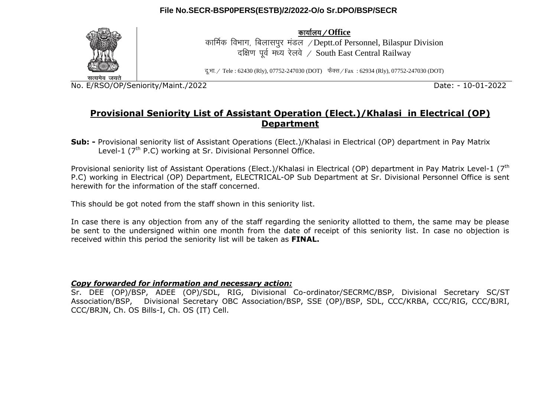

dk;kZy;@**Office**

कार्मिक विभाग, बिलासपर मंडल /Deptt.of Personnel, Bilaspur Division दक्षिण पूर्व मध्य रेलवे / South East Central Railway

दु.भा. / Tele : 62430 (Rly), 07752-247030 (DOT) फैक्स / Fax : 62934 (Rly), 07752-247030 (DOT)

No. E/RSO/OP/Seniority/Maint./2022 Date: - 10-01-2022

## **Provisional Seniority List of Assistant Operation (Elect.)/Khalasi in Electrical (OP) Department**

**Sub: -** Provisional seniority list of Assistant Operations (Elect.)/Khalasi in Electrical (OP) department in Pay Matrix Level-1 (7<sup>th</sup> P.C) working at Sr. Divisional Personnel Office.

Provisional seniority list of Assistant Operations (Elect.)/Khalasi in Electrical (OP) department in Pay Matrix Level-1 (7<sup>th</sup> P.C) working in Electrical (OP) Department, ELECTRICAL-OP Sub Department at Sr. Divisional Personnel Office is sent herewith for the information of the staff concerned.

This should be got noted from the staff shown in this seniority list.

In case there is any objection from any of the staff regarding the seniority allotted to them, the same may be please be sent to the undersigned within one month from the date of receipt of this seniority list. In case no objection is received within this period the seniority list will be taken as **FINAL.**

### *Copy forwarded for information and necessary action:*

Sr. DEE (OP)/BSP, ADEE (OP)/SDL, RIG, Divisional Co-ordinator/SECRMC/BSP, Divisional Secretary SC/ST Association/BSP, Divisional Secretary OBC Association/BSP, SSE (OP)/BSP, SDL, CCC/KRBA, CCC/RIG, CCC/BJRI, CCC/BRJN, Ch. OS Bills-I, Ch. OS (IT) Cell.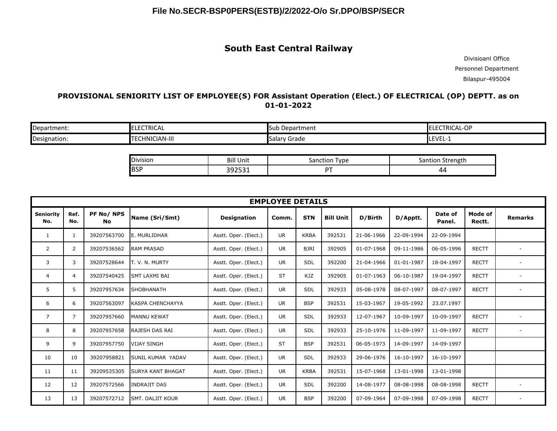## **South East Central Railway**

Divisioanl Office Personnel Department Bilaspur-495004

### **PROVISIONAL SENIORITY LIST OF EMPLOYEE(S) FOR Assistant Operation (Elect.) OF ELECTRICAL (OP) DEPTT. as on 01-01-2022**

| Department:  | <b>ECTRICAL</b>           | Department<br><b>Sub</b> | $\sim$ $\sim$<br>TRICAL-O<br>$-$<br>. r 1<br><b>ILL</b><br>. . |
|--------------|---------------------------|--------------------------|----------------------------------------------------------------|
| Designation: | <b>ECHNICIAN-III</b><br>л | Grade<br><b>Salary</b>   | LEVEL-1                                                        |

| <b>Division</b> | <b>Bill Unit</b>              | $\tau$ vpe<br>ำก<br>uor.<br>эd | Strength<br>10 T<br>d∣ |
|-----------------|-------------------------------|--------------------------------|------------------------|
| loco<br>זכםו    | $20252$<br>.<br><b>JJ4JJ1</b> |                                | 4<br>.                 |

| <b>EMPLOYEE DETAILS</b> |                |                        |                          |                       |           |             |                  |            |            |                   |                   |                |
|-------------------------|----------------|------------------------|--------------------------|-----------------------|-----------|-------------|------------------|------------|------------|-------------------|-------------------|----------------|
| <b>Seniority</b><br>No. | Ref.<br>No.    | PF No/NPS<br><b>No</b> | Name (Sri/Smt)           | <b>Designation</b>    | Comm.     | <b>STN</b>  | <b>Bill Unit</b> | D/Birth    | D/Apptt.   | Date of<br>Panel. | Mode of<br>Rectt. | <b>Remarks</b> |
| 1                       | $\mathbf{1}$   | 39207563700            | E. MURLIDHAR             | Asstt. Oper. (Elect.) | <b>UR</b> | <b>KRBA</b> | 392531           | 21-06-1966 | 22-09-1994 | 22-09-1994        |                   |                |
| 2                       | $\overline{2}$ | 39207536562            | <b>RAM PRASAD</b>        | Asstt. Oper. (Elect.) | <b>UR</b> | <b>BJRI</b> | 392905           | 01-07-1968 | 09-11-1986 | 06-05-1996        | <b>RECTT</b>      |                |
| 3                       | 3              | 39207528644            | T. V. N. MURTY           | Asstt. Oper. (Elect.) | <b>UR</b> | SDL         | 392200           | 21-04-1966 | 01-01-1987 | 18-04-1997        | <b>RECTT</b>      |                |
| 4                       | $\overline{4}$ | 39207540425            | <b>SMT LAXMI BAI</b>     | Asstt. Oper. (Elect.) | <b>ST</b> | <b>KJZ</b>  | 392905           | 01-07-1963 | 06-10-1987 | 19-04-1997        | <b>RECTT</b>      |                |
| 5                       | 5              | 39207957634            | <b>SHOBHANATH</b>        | Asstt. Oper. (Elect.) | <b>UR</b> | <b>SDL</b>  | 392933           | 05-08-1978 | 08-07-1997 | 08-07-1997        | <b>RECTT</b>      |                |
| 6                       | 6              | 39207563097            | KASPA CHENCHAYYA         | Asstt. Oper. (Elect.) | <b>UR</b> | <b>BSP</b>  | 392531           | 15-03-1967 | 19-05-1992 | 23.07.1997        |                   |                |
| $\overline{7}$          | $\overline{7}$ | 39207957660            | <b>MANNU KEWAT</b>       | Asstt. Oper. (Elect.) | <b>UR</b> | SDL         | 392933           | 12-07-1967 | 10-09-1997 | 10-09-1997        | <b>RECTT</b>      |                |
| 8                       | 8              | 39207957658            | <b>RAJESH DAS RAI</b>    | Asstt. Oper. (Elect.) | <b>UR</b> | SDL         | 392933           | 25-10-1976 | 11-09-1997 | 11-09-1997        | <b>RECTT</b>      |                |
| 9                       | 9              | 39207957750            | <b>VIJAY SINGH</b>       | Asstt. Oper. (Elect.) | <b>ST</b> | <b>BSP</b>  | 392531           | 06-05-1973 | 14-09-1997 | 14-09-1997        |                   |                |
| 10                      | 10             | 39207958821            | <b>SUNIL KUMAR YADAV</b> | Asstt. Oper. (Elect.) | <b>UR</b> | <b>SDL</b>  | 392933           | 29-06-1976 | 16-10-1997 | 16-10-1997        |                   |                |
| 11                      | 11             | 39209535305            | <b>SURYA KANT BHAGAT</b> | Asstt. Oper. (Elect.) | <b>UR</b> | <b>KRBA</b> | 392531           | 15-07-1968 | 13-01-1998 | 13-01-1998        |                   |                |
| 12                      | 12             | 39207572566            | <b>INDRAJIT DAS</b>      | Asstt. Oper. (Elect.) | <b>UR</b> | SDL         | 392200           | 14-08-1977 | 08-08-1998 | 08-08-1998        | <b>RECTT</b>      |                |
| 13                      | 13             | 39207572712            | <b>SMT. DALJIT KOUR</b>  | Asstt. Oper. (Elect.) | UR        | <b>BSP</b>  | 392200           | 07-09-1964 | 07-09-1998 | 07-09-1998        | <b>RECTT</b>      |                |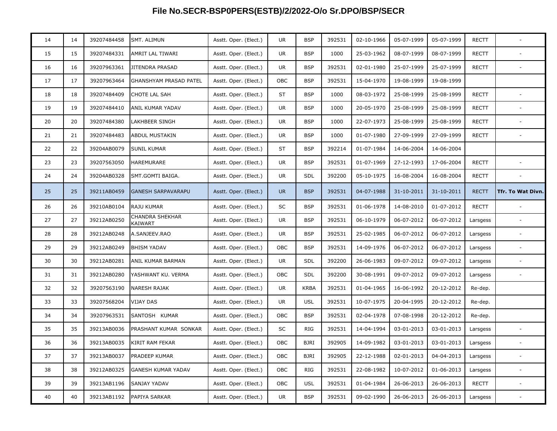| 14 | 14 | 39207484458 | <b>SMT. ALIMUN</b>                | Asstt. Oper. (Elect.) | UR.        | <b>BSP</b>  | 392531 | 02-10-1966 | 05-07-1999 | 05-07-1999 | <b>RECTT</b> |                          |
|----|----|-------------|-----------------------------------|-----------------------|------------|-------------|--------|------------|------------|------------|--------------|--------------------------|
| 15 | 15 | 39207484331 | AMRIT LAL TIWARI                  | Asstt. Oper. (Elect.) | UR         | <b>BSP</b>  | 1000   | 25-03-1962 | 08-07-1999 | 08-07-1999 | RECTT        |                          |
| 16 | 16 | 39207963361 | JITENDRA PRASAD                   | Asstt. Oper. (Elect.) | UR         | <b>BSP</b>  | 392531 | 02-01-1980 | 25-07-1999 | 25-07-1999 | RECTT        | $\overline{\phantom{a}}$ |
| 17 | 17 | 39207963464 | <b>GHANSHYAM PRASAD PATEL</b>     | Asstt. Oper. (Elect.) | OBC        | <b>BSP</b>  | 392531 | 15-04-1970 | 19-08-1999 | 19-08-1999 |              |                          |
| 18 | 18 | 39207484409 | CHOTE LAL SAH                     | Asstt. Oper. (Elect.) | <b>ST</b>  | <b>BSP</b>  | 1000   | 08-03-1972 | 25-08-1999 | 25-08-1999 | RECTT        |                          |
| 19 | 19 | 39207484410 | ANIL KUMAR YADAV                  | Asstt. Oper. (Elect.) | UR         | <b>BSP</b>  | 1000   | 20-05-1970 | 25-08-1999 | 25-08-1999 | RECTT        |                          |
| 20 | 20 | 39207484380 | LAKHBEER SINGH                    | Asstt. Oper. (Elect.) | UR         | <b>BSP</b>  | 1000   | 22-07-1973 | 25-08-1999 | 25-08-1999 | RECTT        |                          |
| 21 | 21 | 39207484483 | <b>ABDUL MUSTAKIN</b>             | Asstt. Oper. (Elect.) | <b>UR</b>  | <b>BSP</b>  | 1000   | 01-07-1980 | 27-09-1999 | 27-09-1999 | RECTT        | $\overline{\phantom{a}}$ |
| 22 | 22 | 39204AB0079 | <b>SUNIL KUMAR</b>                | Asstt. Oper. (Elect.) | <b>ST</b>  | <b>BSP</b>  | 392214 | 01-07-1984 | 14-06-2004 | 14-06-2004 |              |                          |
| 23 | 23 | 39207563050 | HAREMURARE                        | Asstt. Oper. (Elect.) | UR         | <b>BSP</b>  | 392531 | 01-07-1969 | 27-12-1993 | 17-06-2004 | <b>RECTT</b> |                          |
| 24 | 24 | 39204AB0328 | SMT.GOMTI BAIGA.                  | Asstt. Oper. (Elect.) | UR         | <b>SDL</b>  | 392200 | 05-10-1975 | 16-08-2004 | 16-08-2004 | RECTT        |                          |
| 25 | 25 | 39211AB0459 | <b>GANESH SARPAVARAPU</b>         | Asstt. Oper. (Elect.) | <b>UR</b>  | <b>BSP</b>  | 392531 | 04-07-1988 | 31-10-2011 | 31-10-2011 | <b>RECTT</b> | <b>Tfr. To Wat Divn.</b> |
| 26 | 26 | 39210AB0104 | RAJU KUMAR                        | Asstt. Oper. (Elect.) | SC         | <b>BSP</b>  | 392531 | 01-06-1978 | 14-08-2010 | 01-07-2012 | RECTT        |                          |
| 27 | 27 | 39212AB0250 | <b>CHANDRA SHEKHAR</b><br>KAIWART | Asstt. Oper. (Elect.) | <b>UR</b>  | <b>BSP</b>  | 392531 | 06-10-1979 | 06-07-2012 | 06-07-2012 | Larsgess     | $\overline{\phantom{a}}$ |
| 28 | 28 | 39212AB0248 | A.SANJEEV.RAO                     | Asstt. Oper. (Elect.) | <b>UR</b>  | <b>BSP</b>  | 392531 | 25-02-1985 | 06-07-2012 | 06-07-2012 | Larsgess     |                          |
| 29 | 29 | 39212AB0249 | <b>BHISM YADAV</b>                | Asstt. Oper. (Elect.) | OBC        | <b>BSP</b>  | 392531 | 14-09-1976 | 06-07-2012 | 06-07-2012 | Larsgess     |                          |
| 30 | 30 | 39212AB0281 | ANIL KUMAR BARMAN                 | Asstt. Oper. (Elect.) | UR         | <b>SDL</b>  | 392200 | 26-06-1983 | 09-07-2012 | 09-07-2012 | Larsgess     |                          |
| 31 | 31 | 39212AB0280 | YASHWANT KU. VERMA                | Asstt. Oper. (Elect.) | <b>OBC</b> | <b>SDL</b>  | 392200 | 30-08-1991 | 09-07-2012 | 09-07-2012 | Larsgess     |                          |
| 32 | 32 | 39207563190 | NARESH RAJAK                      | Asstt. Oper. (Elect.) | UR         | <b>KRBA</b> | 392531 | 01-04-1965 | 16-06-1992 | 20-12-2012 | Re-dep.      |                          |
| 33 | 33 | 39207568204 | <b>VIJAY DAS</b>                  | Asstt. Oper. (Elect.) | UR         | <b>USL</b>  | 392531 | 10-07-1975 | 20-04-1995 | 20-12-2012 | Re-dep.      |                          |
| 34 | 34 | 39207963531 | SANTOSH KUMAR                     | Asstt. Oper. (Elect.) | <b>OBC</b> | <b>BSP</b>  | 392531 | 02-04-1978 | 07-08-1998 | 20-12-2012 | Re-dep.      |                          |
| 35 | 35 | 39213AB0036 | PRASHANT KUMAR SONKAR             | Asstt. Oper. (Elect.) | SC         | RIG         | 392531 | 14-04-1994 | 03-01-2013 | 03-01-2013 | Larsgess     |                          |
| 36 | 36 | 39213AB0035 | KIRIT RAM FEKAR                   | Asstt. Oper. (Elect.) | OBC        | <b>BJRI</b> | 392905 | 14-09-1982 | 03-01-2013 | 03-01-2013 | Larsgess     |                          |
| 37 | 37 | 39213AB0037 | <b>PRADEEP KUMAR</b>              | Asstt. Oper. (Elect.) | OBC        | <b>BJRI</b> | 392905 | 22-12-1988 | 02-01-2013 | 04-04-2013 | Larsgess     |                          |
| 38 | 38 | 39212AB0325 | <b>GANESH KUMAR YADAV</b>         | Asstt. Oper. (Elect.) | OBC        | <b>RIG</b>  | 392531 | 22-08-1982 | 10-07-2012 | 01-06-2013 | Larsgess     | $\overline{\phantom{a}}$ |
| 39 | 39 | 39213AB1196 | SANJAY YADAV                      | Asstt. Oper. (Elect.) | OBC        | <b>USL</b>  | 392531 | 01-04-1984 | 26-06-2013 | 26-06-2013 | RECTT        | $\overline{\phantom{a}}$ |
| 40 | 40 | 39213AB1192 | PAPIYA SARKAR                     | Asstt. Oper. (Elect.) | <b>UR</b>  | <b>BSP</b>  | 392531 | 09-02-1990 | 26-06-2013 | 26-06-2013 | Larsgess     |                          |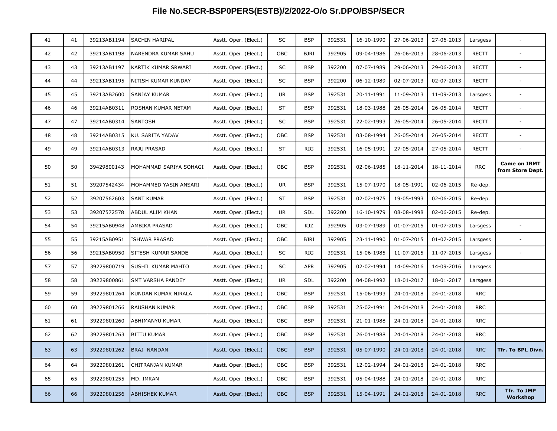| 41 | 41 | 39213AB1194 | SACHIN HARIPAL         | Asstt. Oper. (Elect.) | SC         | <b>BSP</b>  | 392531 | 16-10-1990 | 27-06-2013 | 27-06-2013 | Larsgess     |                                         |
|----|----|-------------|------------------------|-----------------------|------------|-------------|--------|------------|------------|------------|--------------|-----------------------------------------|
| 42 | 42 | 39213AB1198 | NARENDRA KUMAR SAHU    | Asstt. Oper. (Elect.) | <b>OBC</b> | <b>BJRI</b> | 392905 | 09-04-1986 | 26-06-2013 | 28-06-2013 | RECTT        |                                         |
| 43 | 43 | 39213AB1197 | KARTIK KUMAR SRWARI    | Asstt. Oper. (Elect.) | SC         | BSP         | 392200 | 07-07-1989 | 29-06-2013 | 29-06-2013 | RECTT        | $\overline{\phantom{a}}$                |
| 44 | 44 | 39213AB1195 | NITISH KUMAR KUNDAY    | Asstt. Oper. (Elect.) | SC         | <b>BSP</b>  | 392200 | 06-12-1989 | 02-07-2013 | 02-07-2013 | RECTT        |                                         |
| 45 | 45 | 39213AB2600 | SANJAY KUMAR           | Asstt. Oper. (Elect.) | UR         | <b>BSP</b>  | 392531 | 20-11-1991 | 11-09-2013 | 11-09-2013 | Larsgess     | $\overline{\phantom{a}}$                |
| 46 | 46 | 39214AB0311 | ROSHAN KUMAR NETAM     | Asstt. Oper. (Elect.) | <b>ST</b>  | <b>BSP</b>  | 392531 | 18-03-1988 | 26-05-2014 | 26-05-2014 | RECTT        |                                         |
| 47 | 47 | 39214AB0314 | SANTOSH                | Asstt. Oper. (Elect.) | SC         | BSP         | 392531 | 22-02-1993 | 26-05-2014 | 26-05-2014 | <b>RECTT</b> | $\overline{\phantom{a}}$                |
| 48 | 48 | 39214AB0315 | KU. SARITA YADAV       | Asstt. Oper. (Elect.) | OBC        | BSP         | 392531 | 03-08-1994 | 26-05-2014 | 26-05-2014 | RECTT        | $\overline{\phantom{a}}$                |
| 49 | 49 | 39214AB0313 | <b>RAJU PRASAD</b>     | Asstt. Oper. (Elect.) | <b>ST</b>  | <b>RIG</b>  | 392531 | 16-05-1991 | 27-05-2014 | 27-05-2014 | <b>RECTT</b> |                                         |
| 50 | 50 | 39429800143 | MOHAMMAD SARIYA SOHAGI | Asstt. Oper. (Elect.) | OBC        | <b>BSP</b>  | 392531 | 02-06-1985 | 18-11-2014 | 18-11-2014 | <b>RRC</b>   | <b>Came on IRMT</b><br>from Store Dept. |
| 51 | 51 | 39207542434 | MOHAMMED YASIN ANSARI  | Asstt. Oper. (Elect.) | UR         | BSP         | 392531 | 15-07-1970 | 18-05-1991 | 02-06-2015 | Re-dep.      |                                         |
| 52 | 52 | 39207562603 | <b>SANT KUMAR</b>      | Asstt. Oper. (Elect.) | ST         | <b>BSP</b>  | 392531 | 02-02-1975 | 19-05-1993 | 02-06-2015 | Re-dep.      |                                         |
| 53 | 53 | 39207572578 | ABDUL ALIM KHAN        | Asstt. Oper. (Elect.) | <b>UR</b>  | SDL         | 392200 | 16-10-1979 | 08-08-1998 | 02-06-2015 | Re-dep.      |                                         |
| 54 | 54 | 39215AB0948 | AMBIKA PRASAD          | Asstt. Oper. (Elect.) | OBC        | KJZ         | 392905 | 03-07-1989 | 01-07-2015 | 01-07-2015 | Larsgess     |                                         |
| 55 | 55 | 39215AB0951 | <b>ISHWAR PRASAD</b>   | Asstt. Oper. (Elect.) | <b>OBC</b> | <b>BJRI</b> | 392905 | 23-11-1990 | 01-07-2015 | 01-07-2015 | Larsgess     | $\overline{\phantom{a}}$                |
| 56 | 56 | 39215AB0950 | SITESH KUMAR SANDE     | Asstt. Oper. (Elect.) | SC         | <b>RIG</b>  | 392531 | 15-06-1985 | 11-07-2015 | 11-07-2015 | Larsgess     |                                         |
| 57 | 57 | 39229800719 | SUSHIL KUMAR MAHTO     | Asstt. Oper. (Elect.) | SC         | <b>APR</b>  | 392905 | 02-02-1994 | 14-09-2016 | 14-09-2016 | Larsgess     |                                         |
| 58 | 58 | 39229800861 | SMT VARSHA PANDEY      | Asstt. Oper. (Elect.) | <b>UR</b>  | <b>SDL</b>  | 392200 | 04-08-1992 | 18-01-2017 | 18-01-2017 | Larsgess     |                                         |
| 59 | 59 | 39229801264 | KUNDAN KUMAR NIRALA    | Asstt. Oper. (Elect.) | OBC        | BSP         | 392531 | 15-06-1993 | 24-01-2018 | 24-01-2018 | <b>RRC</b>   |                                         |
| 60 | 60 | 39229801266 | RAUSHAN KUMAR          | Asstt. Oper. (Elect.) | OBC        | BSP         | 392531 | 25-02-1991 | 24-01-2018 | 24-01-2018 | <b>RRC</b>   |                                         |
| 61 | 61 | 39229801260 | ABHIMANYU KUMAR        | Asstt. Oper. (Elect.) | OBC        | <b>BSP</b>  | 392531 | 21-01-1988 | 24-01-2018 | 24-01-2018 | <b>RRC</b>   |                                         |
| 62 | 62 | 39229801263 | <b>BITTU KUMAR</b>     | Asstt. Oper. (Elect.) | OBC        | BSP         | 392531 | 26-01-1988 | 24-01-2018 | 24-01-2018 | <b>RRC</b>   |                                         |
| 63 | 63 | 39229801262 | <b>BRAJ NANDAN</b>     | Asstt. Oper. (Elect.) | <b>OBC</b> | <b>BSP</b>  | 392531 | 05-07-1990 | 24-01-2018 | 24-01-2018 | <b>RRC</b>   | Tfr. To BPL Divn.                       |
| 64 | 64 | 39229801261 | CHITRANJAN KUMAR       | Asstt. Oper. (Elect.) | OBC        | <b>BSP</b>  | 392531 | 12-02-1994 | 24-01-2018 | 24-01-2018 | <b>RRC</b>   |                                         |
| 65 | 65 | 39229801255 | MD. IMRAN              | Asstt. Oper. (Elect.) | OBC        | BSP         | 392531 | 05-04-1988 | 24-01-2018 | 24-01-2018 | <b>RRC</b>   |                                         |
| 66 | 66 | 39229801256 | <b>ABHISHEK KUMAR</b>  | Asstt. Oper. (Elect.) | OBC        | <b>BSP</b>  | 392531 | 15-04-1991 | 24-01-2018 | 24-01-2018 | <b>RRC</b>   | Tfr. To JMP<br>Workshop                 |